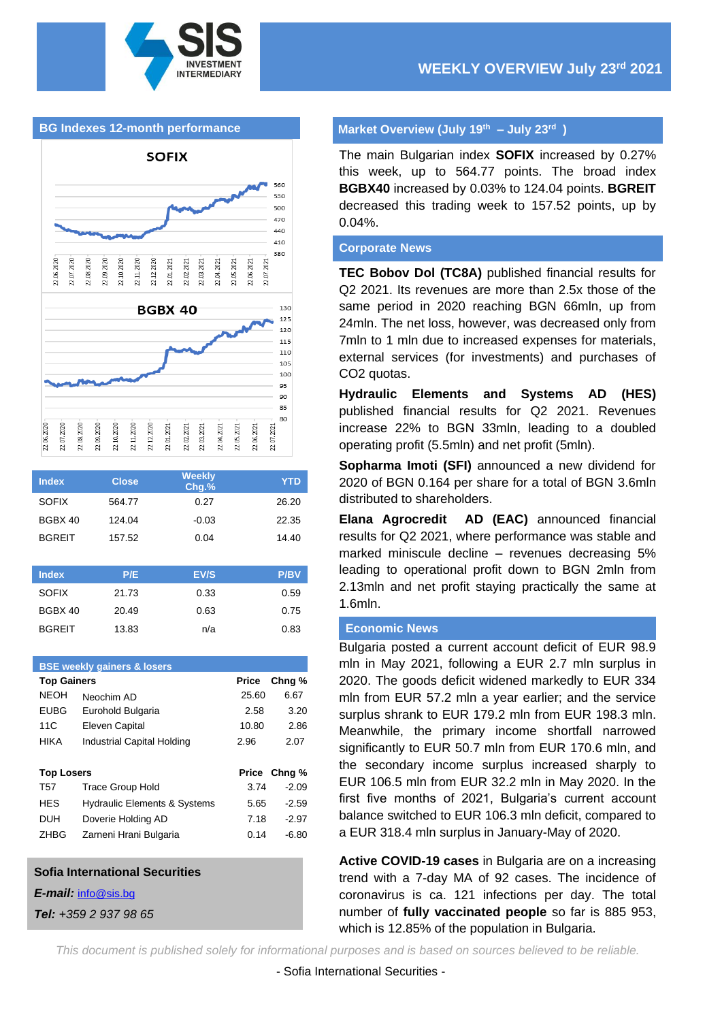

#### **BG Indexes 12-month performance**



| <b>Index</b>  | <b>Close</b> | <b>Weekly</b><br>Chg.% | YTD   |
|---------------|--------------|------------------------|-------|
| <b>SOFIX</b>  | 564.77       | 0.27                   | 26.20 |
| BGBX 40       | 124.04       | $-0.03$                | 22.35 |
| <b>BGREIT</b> | 157.52       | 0.04                   | 14.40 |
|               |              |                        |       |

| <b>Index</b>  | P/E   | EV/S | <b>P/BV</b> |
|---------------|-------|------|-------------|
| <b>SOFIX</b>  | 21.73 | 0.33 | 0.59        |
| BGBX 40       | 20.49 | 0.63 | 0.75        |
| <b>BGREIT</b> | 13.83 | n/a  | 0.83        |

| <b>BSE weekly gainers &amp; losers</b> |                                         |              |         |  |  |  |  |
|----------------------------------------|-----------------------------------------|--------------|---------|--|--|--|--|
| <b>Top Gainers</b>                     |                                         | Price        | Chng %  |  |  |  |  |
| <b>NEOH</b>                            | Neochim AD                              | 25.60        | 6.67    |  |  |  |  |
| <b>EUBG</b>                            | Eurohold Bulgaria                       | 2.58         | 3.20    |  |  |  |  |
| 11C                                    | Eleven Capital                          | 10.80        | 2.86    |  |  |  |  |
| <b>HIKA</b>                            | Industrial Capital Holding              | 2.96         | 2.07    |  |  |  |  |
|                                        |                                         |              |         |  |  |  |  |
| <b>Top Losers</b>                      |                                         | <b>Price</b> | Chng %  |  |  |  |  |
| T57                                    | <b>Trace Group Hold</b>                 | 3.74         | $-2.09$ |  |  |  |  |
| HES                                    | <b>Hydraulic Elements &amp; Systems</b> | 5.65         | $-2.59$ |  |  |  |  |
| DUH                                    | Doverie Holding AD                      | 7.18         | $-2.97$ |  |  |  |  |
| <b>ZHBG</b>                            | Zarneni Hrani Bulgaria                  | 0.14         | -6.80   |  |  |  |  |
|                                        |                                         |              |         |  |  |  |  |

#### **Sofia International Securities**

*E-mail:* [info@sis.bg](mailto:info@sis.bg)

*Tel: +359 2 937 98 65*

## **Market Overview (July 19 th – July 23rd )**

The main Bulgarian index **SOFIX** increased by 0.27% this week, up to 564.77 points. The broad index **BGBX40** increased by 0.03% to 124.04 points. **BGREIT** decreased this trading week to 157.52 points, up by 0.04%.

#### **Corporate News**

**TEC Bobov Dol (TC8A)** published financial results for Q2 2021. Its revenues are more than 2.5x those of the same period in 2020 reaching BGN 66mln, up from 24mln. The net loss, however, was decreased only from 7mln to 1 mln due to increased expenses for materials, external services (for investments) and purchases of CO2 quotas.

**Hydraulic Elements and Systems AD (HES)**  published financial results for Q2 2021. Revenues increase 22% to BGN 33mln, leading to a doubled operating profit (5.5mln) and net profit (5mln).

**Sopharma Imoti (SFI)** announced a new dividend for 2020 of BGN 0.164 per share for a total of BGN 3.6mln distributed to shareholders.

**Elana Agrocredit AD (EAC)** announced financial results for Q2 2021, where performance was stable and marked miniscule decline – revenues decreasing 5% leading to operational profit down to BGN 2mln from 2.13mln and net profit staying practically the same at 1.6mln.

#### **Economic News**

Bulgaria posted a current account deficit of EUR 98.9 mln in May 2021, following a EUR 2.7 mln surplus in 2020. The goods deficit widened markedly to EUR 334 mln from EUR 57.2 mln a year earlier; and the service surplus shrank to EUR 179.2 mln from EUR 198.3 mln. Meanwhile, the primary income shortfall narrowed significantly to EUR 50.7 mln from EUR 170.6 mln, and the secondary income surplus increased sharply to EUR 106.5 mln from EUR 32.2 mln in May 2020. In the first five months of 2021, Bulgaria's current account balance switched to EUR 106.3 mln deficit, compared to a EUR 318.4 mln surplus in January-May of 2020.

**Active COVID-19 cases** in Bulgaria are on a increasing trend with a 7-day MA of 92 cases. The incidence of coronavirus is ca. 121 infections per day. The total number of **fully vaccinated people** so far is 885 953, which is 12.85% of the population in Bulgaria.

*This document is published solely for informational purposes and is based on sources believed to be reliable.*